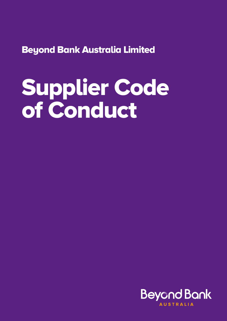Beyond Bank Australia Limited

# Supplier Code of Conduct

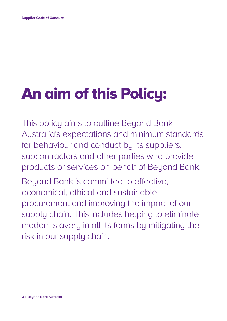## An aim of this Policy:

This policy aims to outline Beyond Bank Australia's expectations and minimum standards for behaviour and conduct by its suppliers, subcontractors and other parties who provide products or services on behalf of Beyond Bank.

Beyond Bank is committed to effective, economical, ethical and sustainable procurement and improving the impact of our supply chain. This includes helping to eliminate modern slavery in all its forms by mitigating the risk in our supply chain.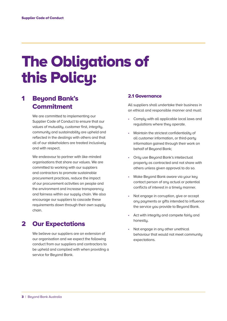## The Obligations of this Policy:

## 1 Beyond Bank's **Commitment**

We are committed to implementing our Supplier Code of Conduct to ensure that our values of mutuality, customer first, integrity, community and sustainability are upheld and reflected in the dealings with others and that all of our stakeholders are treated inclusively and with respect.

We endeavour to partner with like-minded organisations that share our values. We are committed to working with our suppliers and contractors to promote sustainable procurement practices, reduce the impact of our procurement activities on people and the environment and increase transparency and fairness within our supply chain. We also encourage our suppliers to cascade these requirements down through their own supply chain.

### 2 Our Expectations

We believe our suppliers are an extension of our organisation and we expect the following conduct from our suppliers and contractors to be upheld and complied with when providing a service for Beyond Bank.

#### 2.1 Governance

All suppliers shall undertake their business in an ethical and responsible manner and must:

- Comply with all applicable local laws and regulations where they operate.
- Maintain the strictest confidentiality of all customer information, or third-party information gained through their work on behalf of Beyond Bank;
- Only use Beyond Bank's intellectual property as contracted and not share with others unless given approval to do so.
- Make Beyond Bank aware via your key contact person of any actual or potential conflicts of interest in a timely manner.
- Not engage in corruption, give or accept any payments or gifts intended to influence the service you provide to Beyond Bank.
- Act with integrity and compete fairly and honestly.
- Not engage in any other unethical behaviour that would not meet community expectations.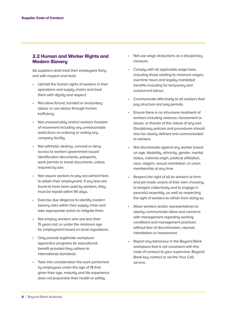#### 2.2 Human and Worker Rights and Modern Slavery

All suppliers shall treat their employees fairly and with respect and must:

- Uphold the human rights of workers in their operations and supply chains and treat them with dignity and respect.
- Not allow forced, bonded or involuntary labour or use labour through human trafficking.
- Not unreasonably restrict workers freedom of movement including any unreasonable restrictions on entering or exiting any company facility.
- Not withhold, destroy, conceal or deny access to workers government issued identification documents, passports, work permits or travel documents, unless required by law.
- Not require workers to pay recruitment fees to obtain their employment. If any fees are found to have been paid by workers, they must be repaid within 90 days.
- Exercise due diligence to identify modern slavery risks within their supply chain and take appropriate action to mitigate them.
- Not employ workers who are less than 15 years old, or under the minimum age for employment based on local regulations.
- Only provide legitimate workplace apprentice programs for educational benefit provided they adhere to international standards.
- Take into consideration the work performed by employees under the age of 18 that given their age, maturity and life experience does not jeopardise their health or safety.
- Not use wage deductions as a disciplinary measure.
- Comply with all applicable wage laws, including those relating to minimum wages, overtime hours and legally mandated benefits including for temporary and outsourced labour.
- Communicate effectively to all workers their pay structure and pay periods.
- Ensure there is no inhumane treatment of workers including violence, harassment or abuse, or threats of this nature of any sort. Disciplinary policies and procedures should also be clearly defined and communicated to workers.
- Not discriminate against any worker based on age, disability, ethnicity, gender, marital status, national origin, political affiliation, race, religion, sexual orientation, or union membership at any time.
- Respect the right of all its workers to form and join trade unions of their own choosing, to bargain collectively and to engage in peaceful assembly, as well as respecting the right of workers to refrain from doing so.
- Allow workers and/or representatives to openly communicate ideas and concerns with management regarding working conditions and management practices without fear of discrimination, reprisal, intimidation or harassment.
- Report any behaviour in the Beyond Bank workplace that is not consistent with this code of conduct to your supervisor, Beyond Bank key contact or via the Your Call service.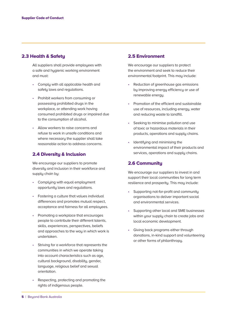#### 2.3 Health & Safety

All suppliers shall provide employees with a safe and hygienic working environment and must:

- Comply with all applicable health and safety laws and regulations.
- Prohibit workers from consuming or possessing prohibited drugs in the workplace, or attending work having consumed prohibited drugs or impaired due to the consumption of alcohol.
- Allow workers to raise concerns and refuse to work in unsafe conditions and where necessary the supplier shall take reasonable action to address concerns.

#### 2.4 Diversity & Inclusion

 We encourage our suppliers to promote diversity and inclusion in their workforce and supply chain by:

- Complying with equal employment opportunity laws and regulations.
- Fostering a culture that values individual differences and promotes mutual respect, acceptance and fairness for all employees.
- Promoting a workplace that encourages people to contribute their different talents, skills, experiences, perspectives, beliefs and approaches to the way in which work is undertaken.
- Striving for a workforce that represents the communities in which we operate taking into account characteristics such as age, cultural background, disability, gender, language, religious belief and sexual orientation.
- Respecting, protecting and promoting the rights of indigenous people.

#### 2.5 Environment

We encourage our suppliers to protect the environment and seek to reduce their environmental footprint. This may include:

- Reduction of greenhouse gas emissions by improving energy efficiency or use of renewable energu.
- Promotion of the efficient and sustainable use of resources, including energy, water and reducing waste to landfill.
- Seeking to minimise pollution and use of toxic or hazardous materials in their products, operations and supply chains.
- Identifying and minimising the environmental impact of their products and services, operations and supply chains.

#### 2.6 Community

 We encourage our suppliers to invest in and support their local communities for long term resilience and prosperity. This may include:

- Supporting not-for-profit and community organisations to deliver important social and environmental services.
- Supporting other local and SME businesses within your supply chain to create jobs and local economic development.
- Giving back programs either through donations, in-kind support and volunteering or other forms of philanthropy.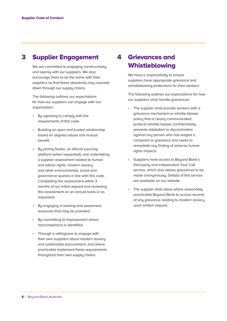## 3 Supplier Engagement

We are committed to engaging constructively and openly with our suppliers. We also encourage them to do the same with their suppliers so that these standards may cascade down through our supply chains.

The following outlines our expectations for how our suppliers can engage with our organisation:

- By agreeing to comply with the requirements of this code.
- Building an open and trusted relationship based on aligned values and mutual benefit.
- By joining Sedex, an ethical sourcing platform (when requested), and undertaking a supplier assessment related to human and labour rights, modern slavery and other environmental, social and governance queries in line with this code. Completing this assessment within 3 months of our initial request and reviewing this assessment on an annual basis or as requested.
- By engaging in training and awareness resources that may be provided.
- By committing to improvement where noncompliance is identified.
- Through a willingness to engage with their own suppliers about modern slavery and sustainable procurement, and where practicable implement these requirements throughout their own supply chains.

## 4 Grievances and Whistleblowing

We have a responsibility to ensure suppliers have appropriate grievance and whistleblowing protections for their workers.

 The following outlines our expectations for how our suppliers shall handle grievances:

- The supplier shall provide workers with a grievance mechanism or whistle-blower policy that is clearly communicated, protects whistle-blower confidentiality, prevents retaliation or discrimination against any person who has lodged a complaint or grievance and seeks to remediate any finding of adverse human rights impacts.
- Suppliers have access to Beyond Bank's third party and independent Your Call service, which also allows grievances to be made anonumouslu. Details of this service are available on our website.
- The supplier shall allow where reasonably practicable Beyond Bank to access records of any grievance relating to modern slavery upon written request.